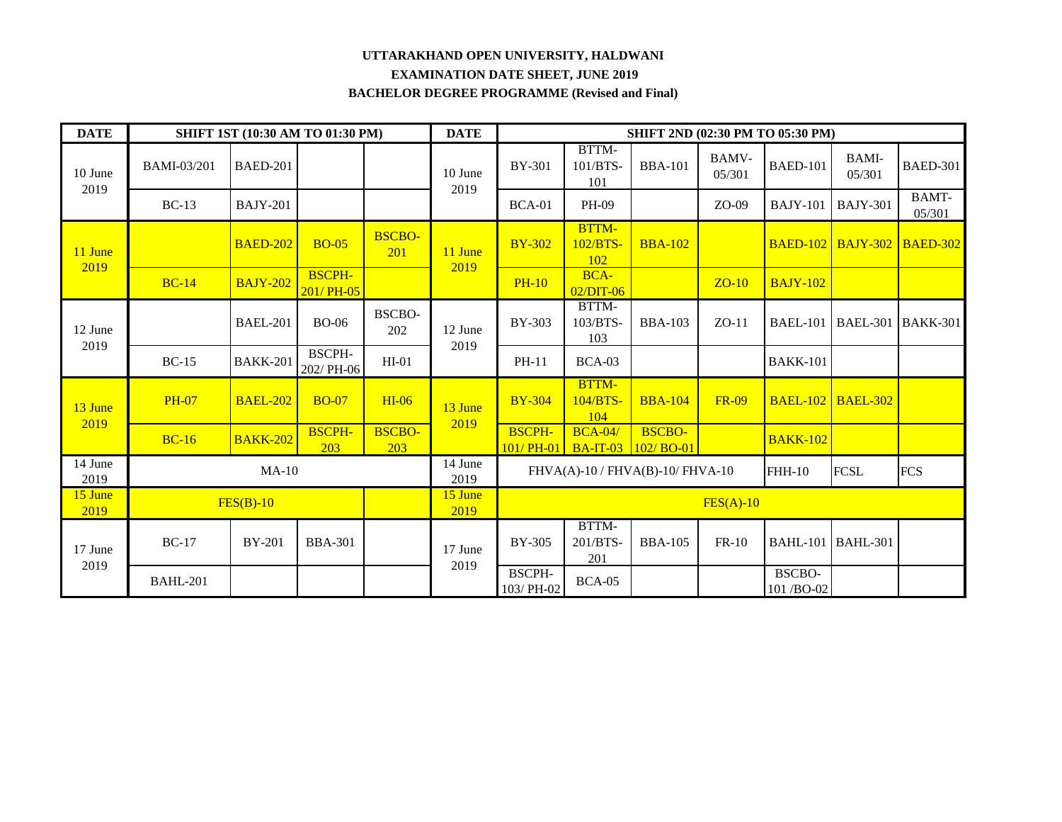## **UTTARAKHAND OPEN UNIVERSITY, HALDWANI EXAMINATION DATE SHEET, JUNE 2019 BACHELOR DEGREE PROGRAMME (Revised and Final)**

| <b>DATE</b>     |                 | SHIFT 1ST (10:30 AM TO 01:30 PM) |                             |                      | <b>DATE</b>     | SHIFT 2ND (02:30 PM TO 05:30 PM) |                                                                                       |                |                        |                            |                        |                                   |  |
|-----------------|-----------------|----------------------------------|-----------------------------|----------------------|-----------------|----------------------------------|---------------------------------------------------------------------------------------|----------------|------------------------|----------------------------|------------------------|-----------------------------------|--|
| 10 June<br>2019 | BAMI-03/201     | <b>BAED-201</b>                  |                             |                      | 10 June<br>2019 | <b>BY-301</b>                    | BTTM-<br>101/BTS-<br>101                                                              | <b>BBA-101</b> | <b>BAMV-</b><br>05/301 | <b>BAED-101</b>            | <b>BAMI-</b><br>05/301 | <b>BAED-301</b>                   |  |
|                 | $BC-13$         | <b>BAJY-201</b>                  |                             |                      |                 | $BCA-01$                         | PH-09                                                                                 |                | $ZO-09$                | <b>BAJY-101</b>            | <b>BAJY-301</b>        | <b>BAMT-</b><br>05/301            |  |
| 11 June         |                 | <b>BAED-202</b>                  | <b>BO-05</b>                | <b>BSCBO-</b><br>201 | 11 June<br>2019 | <b>BY-302</b>                    | <b>BTTM-</b><br>102/BTS<br>102                                                        | <b>BBA-102</b> |                        |                            |                        | <b>BAED-102 BAJY-302 BAED-302</b> |  |
| 2019            | <b>BC-14</b>    | <b>BAJY-202</b>                  | <b>BSCPH-</b><br>201/ PH-05 |                      |                 | <b>PH-10</b>                     | <b>BCA-</b><br>$02/DIT-06$                                                            |                | $ZO-10$                | <b>BAJY-102</b>            |                        |                                   |  |
| 12 June<br>2019 |                 | <b>BAEL-201</b>                  | <b>BO-06</b>                | BSCBO-<br>202        | 12 June<br>2019 | BY-303                           | BTTM-<br>103/BTS-<br>103                                                              | <b>BBA-103</b> | $ZO-11$                | <b>BAEL-101</b>            |                        | BAEL-301   BAKK-301               |  |
|                 | $BC-15$         | <b>BAKK-201</b>                  | <b>BSCPH-</b><br>202/PH-06  | $HI-01$              |                 | PH-11                            | BCA-03                                                                                |                |                        | <b>BAKK-101</b>            |                        |                                   |  |
| 13 June         | <b>PH-07</b>    | <b>BAEL-202</b>                  | <b>BO-07</b>                | $HI-06$              | 13 June<br>2019 | <b>BY-304</b>                    | <b>BTTM-</b><br>104/BTS-<br>104                                                       | <b>BBA-104</b> | <b>FR-09</b>           | <b>BAEL-102</b>            | $BAEL-302$             |                                   |  |
| 2019            | $BC-16$         | <b>BAKK-202</b>                  | <b>BSCPH-</b><br>203        | <b>BSCBO-</b><br>203 |                 | <b>BSCPH-</b>                    | <b>BCA-04/</b><br>$101/PH-01$ BA-IT-03 102/BO-01                                      | <b>BSCBO-</b>  |                        | <b>BAKK-102</b>            |                        |                                   |  |
| 14 June<br>2019 | $MA-10$         |                                  |                             |                      | 14 June<br>2019 |                                  | <b>FCSL</b><br><b>FCS</b><br>$FHVA(A)-10$ / $FHVA(B)-10$ / $FHVA-10$<br><b>FHH-10</b> |                |                        |                            |                        |                                   |  |
| 15 June<br>2019 | $FES(B)-10$     |                                  |                             |                      | 15 June<br>2019 | $FES(A)-10$                      |                                                                                       |                |                        |                            |                        |                                   |  |
| 17 June         | <b>BC-17</b>    | <b>BY-201</b>                    | <b>BBA-301</b>              |                      | 17 June<br>2019 | <b>BY-305</b>                    | BTTM-<br>201/BTS-<br>201                                                              | <b>BBA-105</b> | $FR-10$                | <b>BAHL-101 BAHL-301</b>   |                        |                                   |  |
| 2019            | <b>BAHL-201</b> |                                  |                             |                      |                 | <b>BSCPH-</b><br>103/PH-02       | <b>BCA-05</b>                                                                         |                |                        | <b>BSCBO-</b><br>101/BO-02 |                        |                                   |  |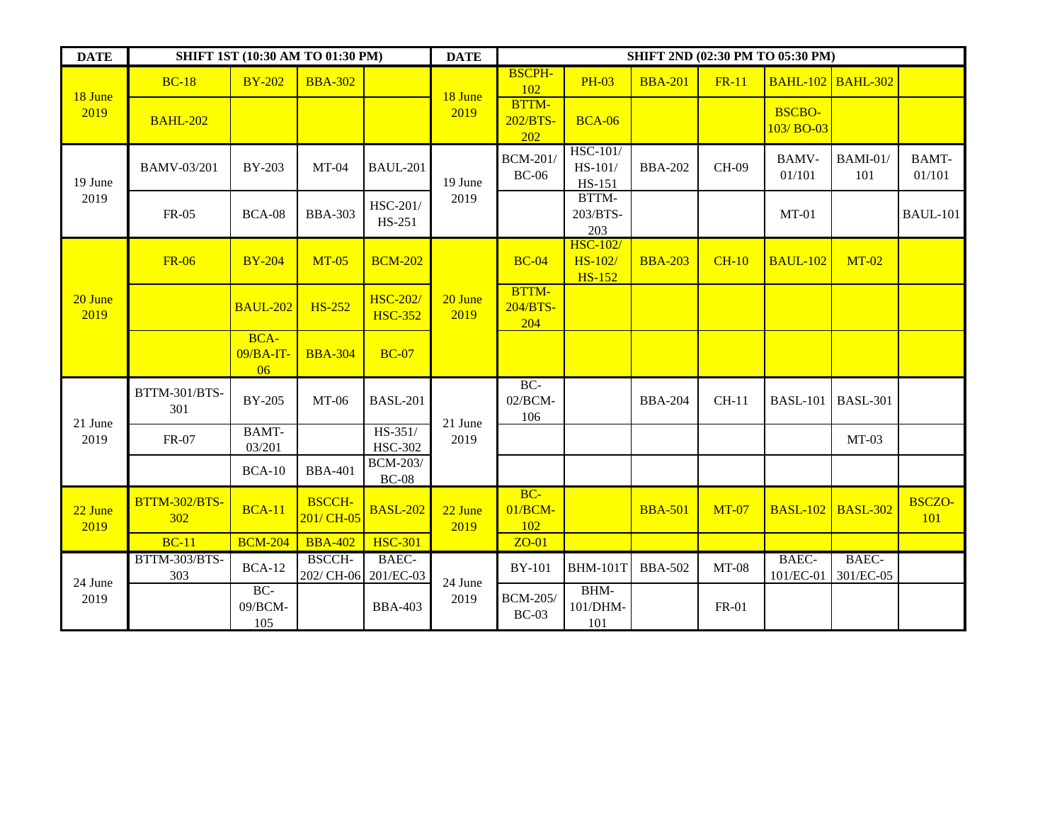| <b>DATE</b>     | <b>SHIFT 1ST (10:30 AM TO 01:30 PM)</b> | <b>DATE</b>               | <b>SHIFT 2ND (02:30 PM TO 05:30 PM)</b> |                                   |                 |                                 |                                                     |                |              |                            |                        |                        |
|-----------------|-----------------------------------------|---------------------------|-----------------------------------------|-----------------------------------|-----------------|---------------------------------|-----------------------------------------------------|----------------|--------------|----------------------------|------------------------|------------------------|
| 18 June         | <b>BC-18</b>                            | <b>BY-202</b>             | <b>BBA-302</b>                          |                                   | 18 June         | <b>BSCPH-</b><br>102            | <b>PH-03</b>                                        | <b>BBA-201</b> | <b>FR-11</b> | <b>BAHL-102 BAHL-302</b>   |                        |                        |
| 2019            | <b>BAHL-202</b>                         |                           |                                         |                                   | 2019            | <b>BTTM-</b><br>202/BTS-<br>202 | <b>BCA-06</b>                                       |                |              | <b>BSCBO-</b><br>103/BO-03 |                        |                        |
| 19 June         | BAMV-03/201                             | BY-203                    | $MT-04$                                 | <b>BAUL-201</b>                   | 19 June         | <b>BCM-201/</b><br>$BC-06$      | <b>HSC-101/</b><br>HS-101/<br>HS-151                | <b>BBA-202</b> | CH-09        | <b>BAMV-</b><br>01/101     | <b>BAMI-01/</b><br>101 | <b>BAMT-</b><br>01/101 |
| 2019            | FR-05                                   | <b>BCA-08</b>             | <b>BBA-303</b>                          | HSC-201/<br>HS-251                | 2019            |                                 | BTTM-<br>203/BTS-<br>203                            |                |              | $MT-01$                    |                        | <b>BAUL-101</b>        |
| 20 June<br>2019 | <b>FR-06</b>                            | <b>BY-204</b>             | $MT-05$                                 | <b>BCM-202</b>                    | 20 June<br>2019 | $BC-04$                         | <b>HSC-102/</b><br><b>HS-102</b> /<br><b>HS-152</b> | <b>BBA-203</b> | $CH-10$      | <b>BAUL-102</b>            | $MT-02$                |                        |
|                 |                                         | <b>BAUL-202</b>           | <b>HS-252</b>                           | <b>HSC-202/</b><br><b>HSC-352</b> |                 | BTTM-<br>204/BTS-<br>204        |                                                     |                |              |                            |                        |                        |
|                 |                                         | BCA-<br>$09/BA-IT-$<br>06 | <b>BBA-304</b>                          | <b>BC-07</b>                      |                 |                                 |                                                     |                |              |                            |                        |                        |
| 21 June         | BTTM-301/BTS-<br>301                    | <b>BY-205</b>             | MT-06                                   | <b>BASL-201</b>                   | 21 June<br>2019 | $BC-$<br>02/BCM-<br>106         |                                                     | <b>BBA-204</b> | $CH-11$      | <b>BASL-101</b>            | <b>BASL-301</b>        |                        |
| 2019            | FR-07                                   | <b>BAMT-</b><br>03/201    |                                         | HS-351/<br><b>HSC-302</b>         |                 |                                 |                                                     |                |              |                            | $MT-03$                |                        |
|                 |                                         | <b>BCA-10</b>             | <b>BBA-401</b>                          | <b>BCM-203/</b><br><b>BC-08</b>   |                 |                                 |                                                     |                |              |                            |                        |                        |
| 22 June<br>2019 | <b>BTTM-302/BTS-</b><br>302             | <b>BCA-11</b>             | <b>BSCCH-</b><br>201/ CH-05             | <b>BASL-202</b>                   | 22 June<br>2019 | $BC-$<br>$01/BCM-$<br>102       |                                                     | <b>BBA-501</b> | <b>MT-07</b> | <b>BASL-102</b>            | <b>BASL-302</b>        | <b>BSCZO-</b><br>101   |
|                 | $BC-11$                                 | <b>BCM-204</b>            | <b>BBA-402</b>                          | <b>HSC-301</b>                    |                 | $ZO-01$                         |                                                     |                |              |                            |                        |                        |
| 24 June<br>2019 | BTTM-303/BTS-<br>303                    | <b>BCA-12</b>             | BSCCH-<br>202/ CH-06                    | BAEC-<br>201/EC-03                | 24 June         | <b>BY-101</b>                   | <b>BHM-101T</b>                                     | <b>BBA-502</b> | $MT-08$      | BAEC-<br>101/EC-01         | BAEC-<br>301/EC-05     |                        |
|                 |                                         | BC-<br>09/BCM-<br>105     |                                         | <b>BBA-403</b>                    | 2019            | <b>BCM-205/</b><br>$BC-03$      | BHM-<br>101/DHM-<br>101                             |                | <b>FR-01</b> |                            |                        |                        |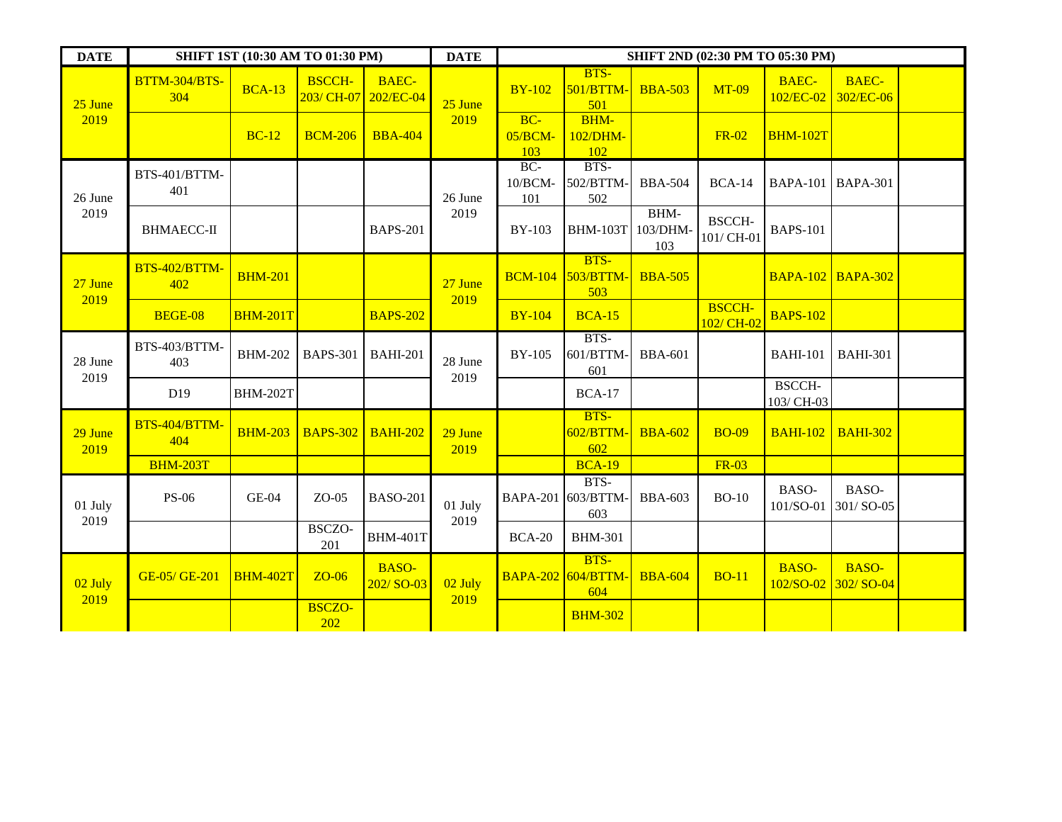| <b>DATE</b>     | SHIFT 1ST (10:30 AM TO 01:30 PM) | <b>DATE</b>     | SHIFT 2ND (02:30 PM TO 05:30 PM) |                             |                 |                         |                                          |                         |                             |                             |                                     |  |
|-----------------|----------------------------------|-----------------|----------------------------------|-----------------------------|-----------------|-------------------------|------------------------------------------|-------------------------|-----------------------------|-----------------------------|-------------------------------------|--|
| 25 June<br>2019 | BTTM-304/BTS-<br>304             | <b>BCA-13</b>   | <b>BSCCH-</b><br>203/ CH-07      | <b>BAEC-</b><br>202/EC-04   | 25 June         | <b>BY-102</b>           | BTS-<br>501/BTTM-<br>501                 | <b>BBA-503</b>          | <b>MT-09</b>                | <b>BAEC-</b><br>102/EC-02   | <b>BAEC-</b><br>302/EC-06           |  |
|                 |                                  | $BC-12$         | <b>BCM-206</b>                   | <b>BBA-404</b>              | 2019            | $BC-$<br>05/BCM-<br>103 | <b>BHM-</b><br>102/DHM-<br>102           |                         | <b>FR-02</b>                | <b>BHM-102T</b>             |                                     |  |
| 26 June         | BTS-401/BTTM-<br>401             |                 |                                  |                             | 26 June<br>2019 | $BC-$<br>10/BCM-<br>101 | BTS-<br>502/BTTM-<br>502                 | <b>BBA-504</b>          | $BCA-14$                    | <b>BAPA-101</b>             | <b>BAPA-301</b>                     |  |
| 2019            | <b>BHMAECC-II</b>                |                 |                                  | <b>BAPS-201</b>             |                 | <b>BY-103</b>           | <b>BHM-103T</b>                          | BHM-<br>103/DHM-<br>103 | <b>BSCCH-</b><br>101/CH-01  | <b>BAPS-101</b>             |                                     |  |
| 27 June<br>2019 | BTS-402/BTTM-<br>402             | <b>BHM-201</b>  |                                  |                             | 27 June<br>2019 |                         | BTS-<br><b>BCM-104 503/BTTM-</b><br>503  | <b>BBA-505</b>          |                             | <b>BAPA-102 BAPA-302</b>    |                                     |  |
|                 | <b>BEGE-08</b>                   | <b>BHM-201T</b> |                                  | <b>BAPS-202</b>             |                 | <b>BY-104</b>           | <b>BCA-15</b>                            |                         | <b>BSCCH-</b><br>102/ CH-02 | <b>BAPS-102</b>             |                                     |  |
| 28 June         | BTS-403/BTTM-<br>403             | <b>BHM-202</b>  | <b>BAPS-301</b>                  | <b>BAHI-201</b>             | 28 June<br>2019 | <b>BY-105</b>           | BTS-<br>601/BTTM-<br>601                 | <b>BBA-601</b>          |                             | <b>BAHI-101</b>             | <b>BAHI-301</b>                     |  |
| 2019            | D <sub>19</sub>                  | <b>BHM-202T</b> |                                  |                             |                 |                         | <b>BCA-17</b>                            |                         |                             | <b>BSCCH-</b><br>103/ CH-03 |                                     |  |
| 29 June<br>2019 | BTS-404/BTTM-<br>404             | <b>BHM-203</b>  | <b>BAPS-302</b>                  | <b>BAHI-202</b>             | 29 June<br>2019 |                         | BTS-<br>602/BTTM-<br>602                 | <b>BBA-602</b>          | <b>BO-09</b>                | <b>BAHI-102</b>             | <b>BAHI-302</b>                     |  |
|                 | <b>BHM-203T</b>                  |                 |                                  |                             |                 |                         | <b>BCA-19</b>                            |                         | <b>FR-03</b>                |                             |                                     |  |
| 01 July<br>2019 | <b>PS-06</b>                     | $GE-04$         | $ZO-05$                          | <b>BASO-201</b>             | 01 July<br>2019 |                         | BTS-<br>BAPA-201 603/BTTM-<br>603        | <b>BBA-603</b>          | $BO-10$                     | BASO-<br>101/SO-01          | BASO-<br>301/SO-05                  |  |
|                 |                                  |                 | BSCZO-<br>201                    | <b>BHM-401T</b>             |                 | <b>BCA-20</b>           | <b>BHM-301</b>                           |                         |                             |                             |                                     |  |
| 02 July<br>2019 | GE-05/GE-201                     | <b>BHM-402T</b> | $ZO-06$                          | <b>BASO-</b><br>$202/SO-03$ | 02 July<br>2019 |                         | BTS-<br><b>BAPA-202 604/BTTM-</b><br>604 | <b>BBA-604</b>          | <b>BO-11</b>                | <b>BASO-</b>                | <b>BASO-</b><br>102/SO-02 302/SO-04 |  |
|                 |                                  |                 | <b>BSCZO-</b><br>202             |                             |                 |                         | <b>BHM-302</b>                           |                         |                             |                             |                                     |  |